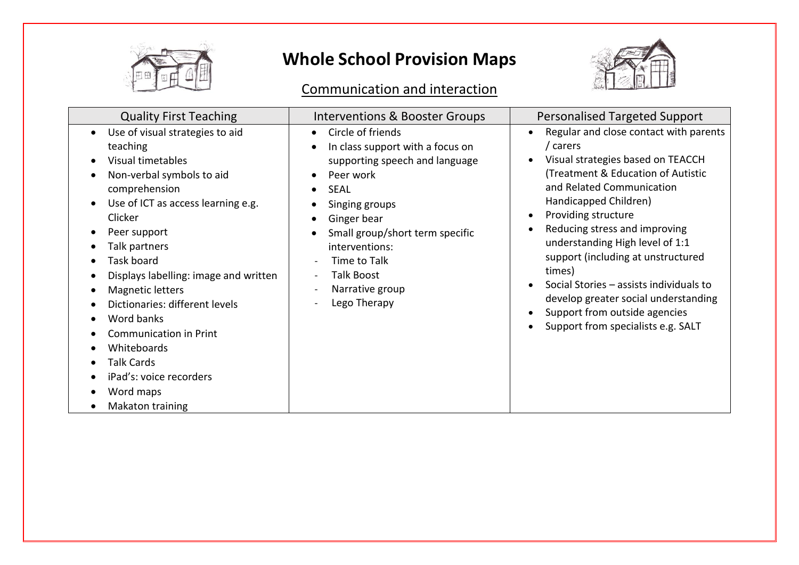

#### Communication and interaction



| <b>Quality First Teaching</b>                                                                                                                                                                                                                                                                                                                                                                                                                                | <b>Interventions &amp; Booster Groups</b>                                                                                                                                                                                                                                                                                                                       | <b>Personalised Targeted Support</b>                                                                                                                                                                                                                                                                                                                                                                                                                                                     |
|--------------------------------------------------------------------------------------------------------------------------------------------------------------------------------------------------------------------------------------------------------------------------------------------------------------------------------------------------------------------------------------------------------------------------------------------------------------|-----------------------------------------------------------------------------------------------------------------------------------------------------------------------------------------------------------------------------------------------------------------------------------------------------------------------------------------------------------------|------------------------------------------------------------------------------------------------------------------------------------------------------------------------------------------------------------------------------------------------------------------------------------------------------------------------------------------------------------------------------------------------------------------------------------------------------------------------------------------|
| Use of visual strategies to aid<br>teaching<br>Visual timetables<br>Non-verbal symbols to aid<br>comprehension<br>Use of ICT as access learning e.g.<br>Clicker<br>Peer support<br>Talk partners<br>Task board<br>Displays labelling: image and written<br>Magnetic letters<br>Dictionaries: different levels<br>Word banks<br><b>Communication in Print</b><br>Whiteboards<br><b>Talk Cards</b><br>iPad's: voice recorders<br>Word maps<br>Makaton training | Circle of friends<br>$\bullet$<br>In class support with a focus on<br>$\bullet$<br>supporting speech and language<br>Peer work<br>$\bullet$<br><b>SEAL</b><br>$\bullet$<br>Singing groups<br>$\bullet$<br>Ginger bear<br>$\bullet$<br>Small group/short term specific<br>interventions:<br>Time to Talk<br><b>Talk Boost</b><br>Narrative group<br>Lego Therapy | Regular and close contact with parents<br>/ carers<br>Visual strategies based on TEACCH<br>(Treatment & Education of Autistic<br>and Related Communication<br>Handicapped Children)<br>Providing structure<br>Reducing stress and improving<br>understanding High level of 1:1<br>support (including at unstructured<br>times)<br>Social Stories - assists individuals to<br>develop greater social understanding<br>Support from outside agencies<br>Support from specialists e.g. SALT |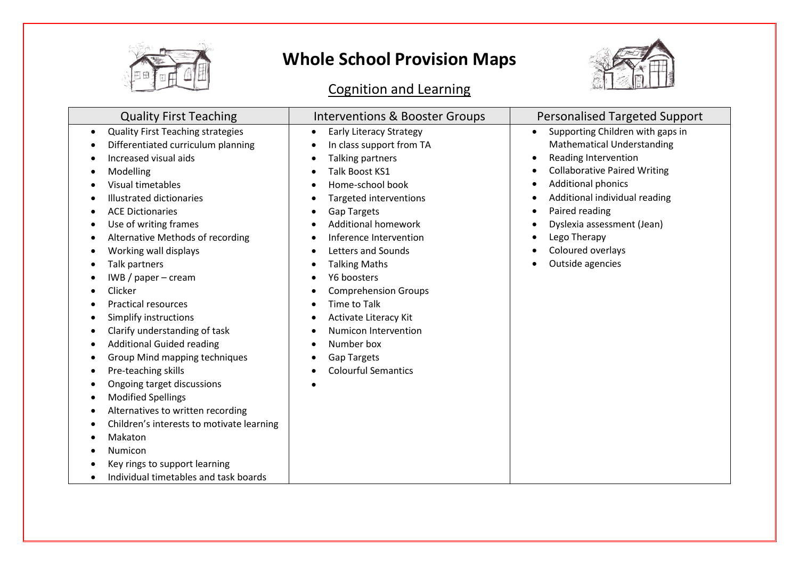

#### Cognition and Learning



| <b>Quality First Teaching</b>                                                                                                                                                                                                                                                                                                                                                                                                                                                                                                                                                                                                                                                                                                                                | Interventions & Booster Groups                                                                                                                                                                                                                                                                                                                                                                                                                                                                                 | <b>Personalised Targeted Support</b>                                                                                                                                                                                                                                                                                                  |
|--------------------------------------------------------------------------------------------------------------------------------------------------------------------------------------------------------------------------------------------------------------------------------------------------------------------------------------------------------------------------------------------------------------------------------------------------------------------------------------------------------------------------------------------------------------------------------------------------------------------------------------------------------------------------------------------------------------------------------------------------------------|----------------------------------------------------------------------------------------------------------------------------------------------------------------------------------------------------------------------------------------------------------------------------------------------------------------------------------------------------------------------------------------------------------------------------------------------------------------------------------------------------------------|---------------------------------------------------------------------------------------------------------------------------------------------------------------------------------------------------------------------------------------------------------------------------------------------------------------------------------------|
| <b>Quality First Teaching strategies</b><br>$\bullet$<br>Differentiated curriculum planning<br>Increased visual aids<br>Modelling<br>Visual timetables<br><b>Illustrated dictionaries</b><br><b>ACE Dictionaries</b><br>Use of writing frames<br>Alternative Methods of recording<br>Working wall displays<br>Talk partners<br>$IWB$ / paper – cream<br>Clicker<br><b>Practical resources</b><br>Simplify instructions<br>Clarify understanding of task<br><b>Additional Guided reading</b><br>Group Mind mapping techniques<br>٠<br>Pre-teaching skills<br>Ongoing target discussions<br><b>Modified Spellings</b><br>Alternatives to written recording<br>Children's interests to motivate learning<br>Makaton<br>Numicon<br>Key rings to support learning | <b>Early Literacy Strategy</b><br>$\bullet$<br>In class support from TA<br>Talking partners<br>Talk Boost KS1<br>Home-school book<br>Targeted interventions<br><b>Gap Targets</b><br><b>Additional homework</b><br>Inference Intervention<br>Letters and Sounds<br><b>Talking Maths</b><br>$\bullet$<br>Y6 boosters<br><b>Comprehension Groups</b><br><b>Time to Talk</b><br>Activate Literacy Kit<br>$\bullet$<br>Numicon Intervention<br>Number box<br><b>Gap Targets</b><br>٠<br><b>Colourful Semantics</b> | Supporting Children with gaps in<br>$\bullet$<br><b>Mathematical Understanding</b><br>Reading Intervention<br>$\bullet$<br><b>Collaborative Paired Writing</b><br><b>Additional phonics</b><br>Additional individual reading<br>Paired reading<br>Dyslexia assessment (Jean)<br>Lego Therapy<br>Coloured overlays<br>Outside agencies |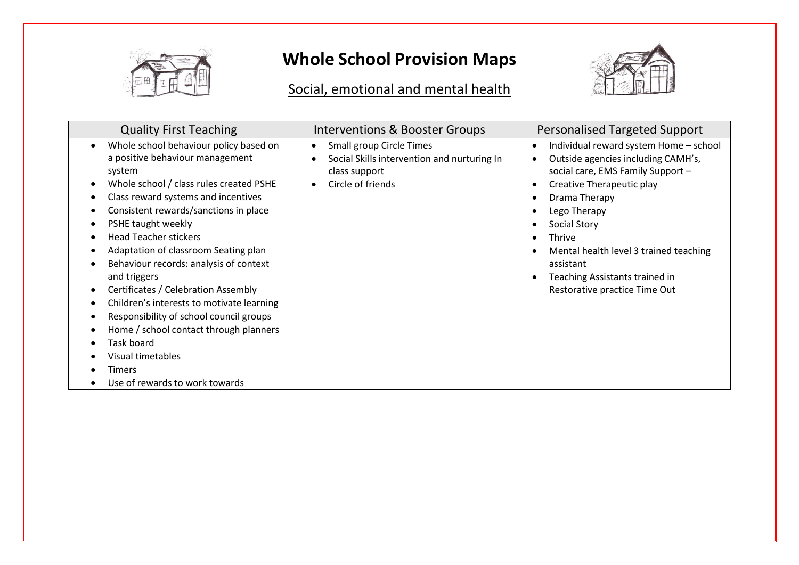

#### Social, emotional and mental health



| <b>Quality First Teaching</b>                                                                                                                                                                                                                                                                                                                                                                                                                                                                                                                                                                                                                    | Interventions & Booster Groups                                                                                                                       | <b>Personalised Targeted Support</b>                                                                                                                                                                                                                                                                                                     |
|--------------------------------------------------------------------------------------------------------------------------------------------------------------------------------------------------------------------------------------------------------------------------------------------------------------------------------------------------------------------------------------------------------------------------------------------------------------------------------------------------------------------------------------------------------------------------------------------------------------------------------------------------|------------------------------------------------------------------------------------------------------------------------------------------------------|------------------------------------------------------------------------------------------------------------------------------------------------------------------------------------------------------------------------------------------------------------------------------------------------------------------------------------------|
| Whole school behaviour policy based on<br>$\bullet$<br>a positive behaviour management<br>system<br>Whole school / class rules created PSHE<br>Class reward systems and incentives<br>Consistent rewards/sanctions in place<br>PSHE taught weekly<br><b>Head Teacher stickers</b><br>Adaptation of classroom Seating plan<br>Behaviour records: analysis of context<br>and triggers<br>Certificates / Celebration Assembly<br>٠<br>Children's interests to motivate learning<br>Responsibility of school council groups<br>Home / school contact through planners<br>Task board<br>Visual timetables<br>Timers<br>Use of rewards to work towards | Small group Circle Times<br>$\bullet$<br>Social Skills intervention and nurturing In<br>$\bullet$<br>class support<br>Circle of friends<br>$\bullet$ | Individual reward system Home - school<br>٠<br>Outside agencies including CAMH's,<br>social care, EMS Family Support -<br>Creative Therapeutic play<br>Drama Therapy<br>Lego Therapy<br>Social Story<br>Thrive<br>Mental health level 3 trained teaching<br>assistant<br>Teaching Assistants trained in<br>Restorative practice Time Out |